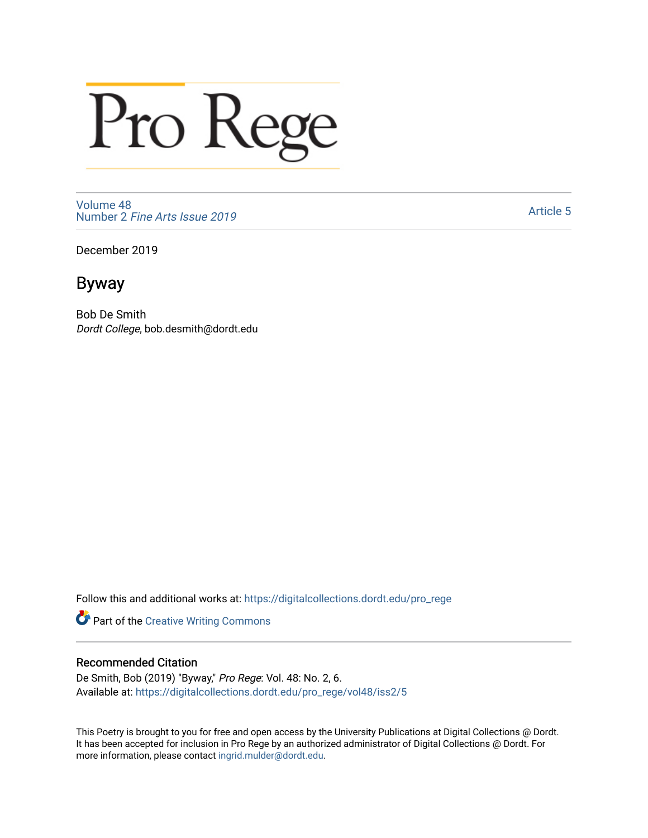## Pro Rege

[Volume 48](https://digitalcollections.dordt.edu/pro_rege/vol48) Number 2 [Fine Arts Issue 2019](https://digitalcollections.dordt.edu/pro_rege/vol48/iss2) 

[Article 5](https://digitalcollections.dordt.edu/pro_rege/vol48/iss2/5) 

December 2019

Byway

Bob De Smith Dordt College, bob.desmith@dordt.edu

Follow this and additional works at: [https://digitalcollections.dordt.edu/pro\\_rege](https://digitalcollections.dordt.edu/pro_rege?utm_source=digitalcollections.dordt.edu%2Fpro_rege%2Fvol48%2Fiss2%2F5&utm_medium=PDF&utm_campaign=PDFCoverPages) 

Part of the [Creative Writing Commons](http://network.bepress.com/hgg/discipline/574?utm_source=digitalcollections.dordt.edu%2Fpro_rege%2Fvol48%2Fiss2%2F5&utm_medium=PDF&utm_campaign=PDFCoverPages) 

## Recommended Citation

De Smith, Bob (2019) "Byway," Pro Rege: Vol. 48: No. 2, 6. Available at: [https://digitalcollections.dordt.edu/pro\\_rege/vol48/iss2/5](https://digitalcollections.dordt.edu/pro_rege/vol48/iss2/5?utm_source=digitalcollections.dordt.edu%2Fpro_rege%2Fvol48%2Fiss2%2F5&utm_medium=PDF&utm_campaign=PDFCoverPages) 

This Poetry is brought to you for free and open access by the University Publications at Digital Collections @ Dordt. It has been accepted for inclusion in Pro Rege by an authorized administrator of Digital Collections @ Dordt. For more information, please contact [ingrid.mulder@dordt.edu.](mailto:ingrid.mulder@dordt.edu)